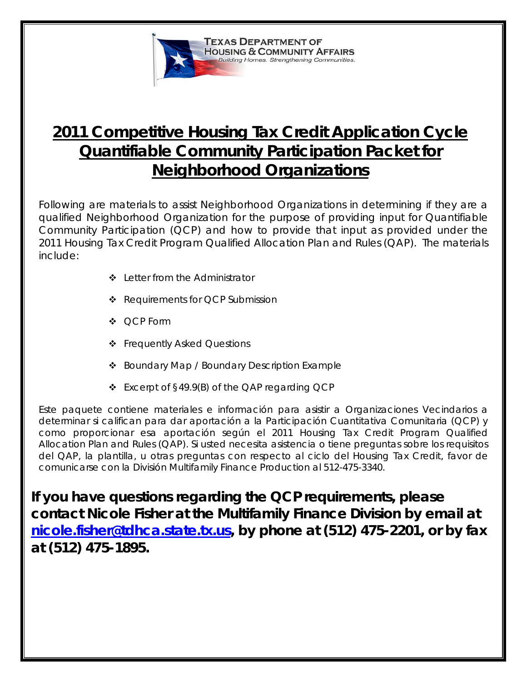

# **2011 Competitive Housing Tax Credit Application Cycle Quantifiable Community Participation Packet for Neighborhood Organizations**

Following are materials to assist Neighborhood Organizations in determining if they are a qualified Neighborhood Organization for the purpose of providing input for Quantifiable Community Participation (QCP) and how to provide that input as provided under the 2011 Housing Tax Credit Program Qualified Allocation Plan and Rules (QAP). The materials include:

- ❖ Letter from the Administrator
- ◆ Requirements for QCP Submission
- ❖ OCP Form
- Frequently Asked Questions
- ❖ Boundary Map / Boundary Description Example
- Excerpt of §49.9(B) of the QAP regarding QCP

Este paquete contiene materiales e información para asistir a Organizaciones Vecindarios a determinar si califican para dar aportación a la Participación Cuantitativa Comunitaria (QCP) y como proporcionar esa aportación según el 2011 Housing Tax Credit Program Qualified Allocation Plan and Rules (QAP). Si usted necesita asistencia o tiene preguntas sobre los requisitos del QAP, la plantilla, u otras preguntas con respecto al ciclo del Housing Tax Credit, favor de comunicarse con la División Multifamily Finance Production al 512-475-3340.

**If you have questions regarding the QCP requirements, please contact Nicole Fisher at the Multifamily Finance Division by email at [nicole.fisher@tdhca.state.tx.us,](mailto:Nicole.fisher@tdhca.state.tx.us) by phone at (512) 475-2201, or by fax at (512) 475-1895.**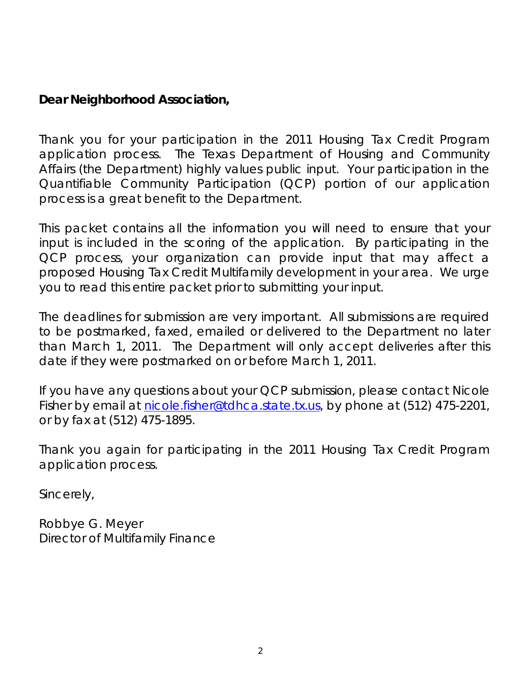# **Dear Neighborhood Association,**

Thank you for your participation in the 2011 Housing Tax Credit Program application process. The Texas Department of Housing and Community Affairs (the Department) highly values public input. Your participation in the Quantifiable Community Participation (QCP) portion of our application process is a great benefit to the Department.

This packet contains all the information you will need to ensure that your input is included in the scoring of the application. By participating in the QCP process, your organization can provide input that may affect a proposed Housing Tax Credit Multifamily development in your area. We urge you to read this entire packet prior to submitting your input.

The deadlines for submission are very important. All submissions are required to be postmarked, faxed, emailed or delivered to the Department no later than March 1, 2011. The Department will only accept deliveries after this date if they were postmarked on or before March 1, 2011.

If you have any questions about your QCP submission, please contact Nicole Fisher by email at [nicole.fisher@tdhca.state.tx.us,](mailto:Nicole.fisher@tdhca.state.tx.us) by phone at (512) 475-2201, or by fax at (512) 475-1895.

Thank you again for participating in the 2011 Housing Tax Credit Program application process.

Sincerely,

Robbye G. Meyer Director of Multifamily Finance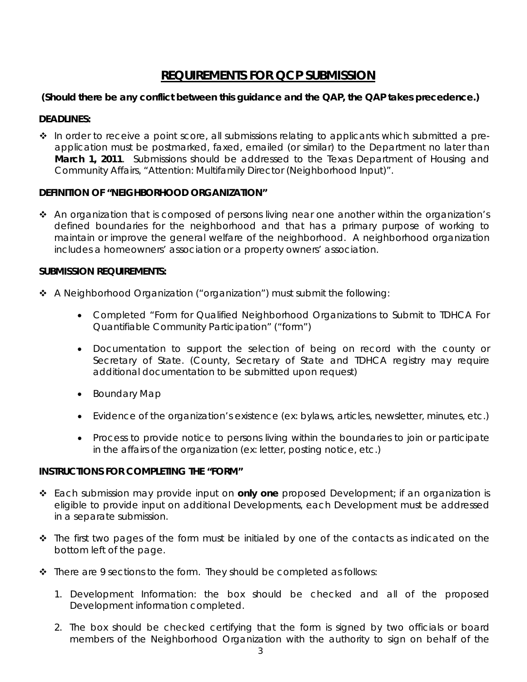# **REQUIREMENTS FOR QCP SUBMISSION**

# **(Should there be any conflict between this guidance and the QAP, the QAP takes precedence.)**

# **DEADLINES:**

 $\cdot \cdot$  In order to receive a point score, all submissions relating to applicants which submitted a preapplication must be postmarked, faxed, emailed (or similar) to the Department no later than **March 1, 2011**. Submissions should be addressed to the Texas Department of Housing and Community Affairs, "Attention: Multifamily Director (Neighborhood Input)".

# **DEFINITION OF "NEIGHBORHOOD ORGANIZATION"**

 $\triangle$  An organization that is composed of persons living near one another within the organization's defined boundaries for the neighborhood and that has a primary purpose of working to maintain or improve the general welfare of the neighborhood. A neighborhood organization includes a homeowners' association or a property owners' association.

# **SUBMISSION REQUIREMENTS:**

- A Neighborhood Organization ("organization") must submit the following:
	- Completed "Form for Qualified Neighborhood Organizations to Submit to TDHCA For Quantifiable Community Participation" ("form")
	- Documentation to support the selection of being on record with the county or Secretary of State. (County, Secretary of State and TDHCA registry may require additional documentation to be submitted upon request)
	- Boundary Map
	- Evidence of the organization's existence (ex: bylaws, articles, newsletter, minutes, etc.)
	- Process to provide notice to persons living within the boundaries to join or participate in the affairs of the organization (ex: letter, posting notice, etc.)

# **INSTRUCTIONS FOR COMPLETING THE "FORM"**

- Each submission may provide input on **only one** proposed Development; if an organization is eligible to provide input on additional Developments, each Development must be addressed in a separate submission.
- $\div$  The first two pages of the form must be initialed by one of the contacts as indicated on the bottom left of the page.
- $\triangle$  There are 9 sections to the form. They should be completed as follows:
	- 1. Development Information: the box should be checked and all of the proposed Development information completed.
	- 2. The box should be checked certifying that the form is signed by two officials or board members of the Neighborhood Organization with the authority to sign on behalf of the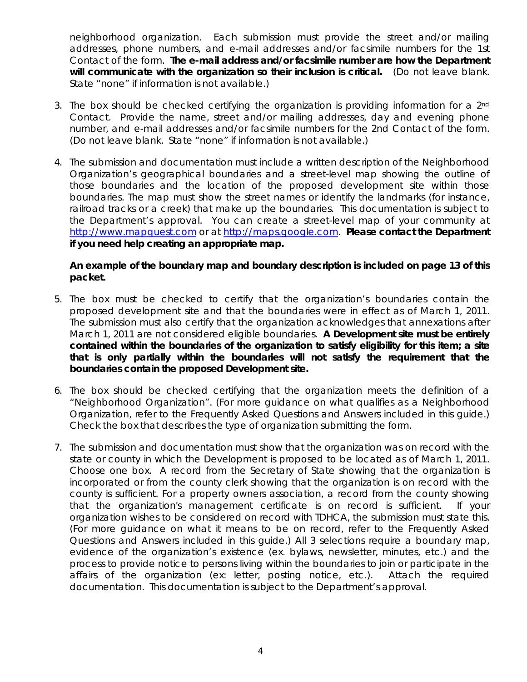neighborhood organization. Each submission must provide the street and/or mailing addresses, phone numbers, and e-mail addresses and/or facsimile numbers for the 1st Contact of the form. **The e-mail address and/or facsimile number are how the Department will communicate with the organization so their inclusion is critical.** (Do not leave blank. State "none" if information is not available.)

- 3. The box should be checked certifying the organization is providing information for a  $2<sup>nd</sup>$ Contact. Provide the name, street and/or mailing addresses, day and evening phone number, and e-mail addresses and/or facsimile numbers for the 2nd Contact of the form. (Do not leave blank. State "none" if information is not available.)
- 4. The submission and documentation must include a written description of the Neighborhood Organization's geographical boundaries and a street-level map showing the outline of those boundaries and the location of the proposed development site within those boundaries. The map must show the street names or identify the landmarks (for instance, railroad tracks or a creek) that make up the boundaries. This documentation is subject to the Department's approval. You can create a street-level map of your community at [http://www.mapquest.com](http://www.mapquest.com/) or at [http://maps.google.com.](http://maps.google.com/) **Please contact the Department if you need help creating an appropriate map.**

### **An example of the boundary map and boundary description is included on page 13 of this packet.**

- 5. The box must be checked to certify that the organization's boundaries contain the proposed development site and that the boundaries were in effect as of March 1, 2011. The submission must also certify that the organization acknowledges that annexations after March 1, 2011 are not considered eligible boundaries. **A Development site must be entirely contained within the boundaries of the organization to satisfy eligibility for this item; a site that is only partially within the boundaries will not satisfy the requirement that the boundaries contain the proposed Development site.**
- 6. The box should be checked certifying that the organization meets the definition of a "Neighborhood Organization". (For more guidance on what qualifies as a Neighborhood Organization, refer to the Frequently Asked Questions and Answers included in this guide.) Check the box that describes the type of organization submitting the form.
- 7. The submission and documentation must show that the organization was on record with the state or county in which the Development is proposed to be located as of March 1, 2011. Choose one box. A record from the Secretary of State showing that the organization is incorporated or from the county clerk showing that the organization is on record with the county is sufficient. For a property owners association, a record from the county showing that the organization's management certificate is on record is sufficient. If your organization wishes to be considered on record with TDHCA, the submission must state this. (For more guidance on what it means to be on record, refer to the Frequently Asked Questions and Answers included in this guide.) All 3 selections require a boundary map, evidence of the organization's existence (ex. bylaws, newsletter, minutes, etc.) and the process to provide notice to persons living within the boundaries to join or participate in the affairs of the organization (ex: letter, posting notice, etc.). Attach the required documentation. This documentation is subject to the Department's approval.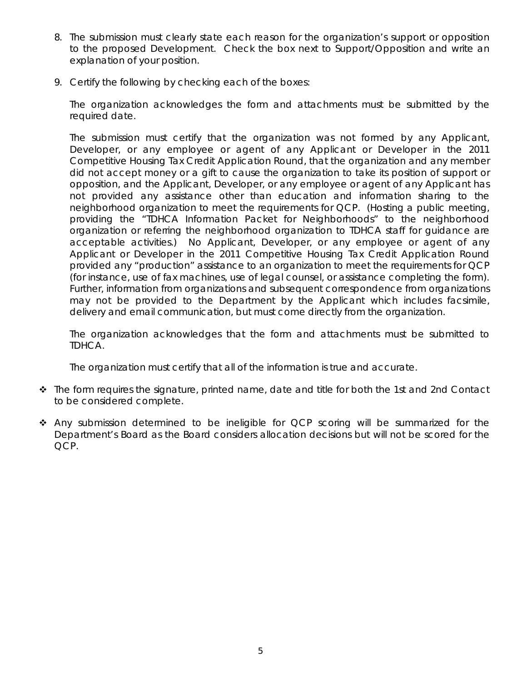- 8. The submission must clearly state each reason for the organization's support or opposition to the proposed Development. Check the box next to Support/Opposition and write an explanation of your position.
- 9. Certify the following by checking each of the boxes:

The organization acknowledges the form and attachments must be submitted by the required date.

The submission must certify that the organization was not formed by any Applicant, Developer, or any employee or agent of any Applicant or Developer in the 2011 Competitive Housing Tax Credit Application Round, that the organization and any member did not accept money or a gift to cause the organization to take its position of support or opposition, and the Applicant, Developer, or any employee or agent of any Applicant has not provided any assistance other than education and information sharing to the neighborhood organization to meet the requirements for QCP. (Hosting a public meeting, providing the "TDHCA Information Packet for Neighborhoods" to the neighborhood organization or referring the neighborhood organization to TDHCA staff for guidance are acceptable activities.) No Applicant, Developer, or any employee or agent of any Applicant or Developer in the 2011 Competitive Housing Tax Credit Application Round provided any "production" assistance to an organization to meet the requirements for QCP (for instance, use of fax machines, use of legal counsel, or assistance completing the form). Further, information from organizations and subsequent correspondence from organizations may not be provided to the Department by the Applicant which includes facsimile, delivery and email communication, but must come directly from the organization.

The organization acknowledges that the form and attachments must be submitted to TDHCA.

The organization must certify that all of the information is true and accurate.

- $\cdot \cdot$  The form requires the signature, printed name, date and title for both the 1st and 2nd Contact to be considered complete.
- Any submission determined to be ineligible for QCP scoring will be summarized for the Department's Board as the Board considers allocation decisions but will not be scored for the QCP.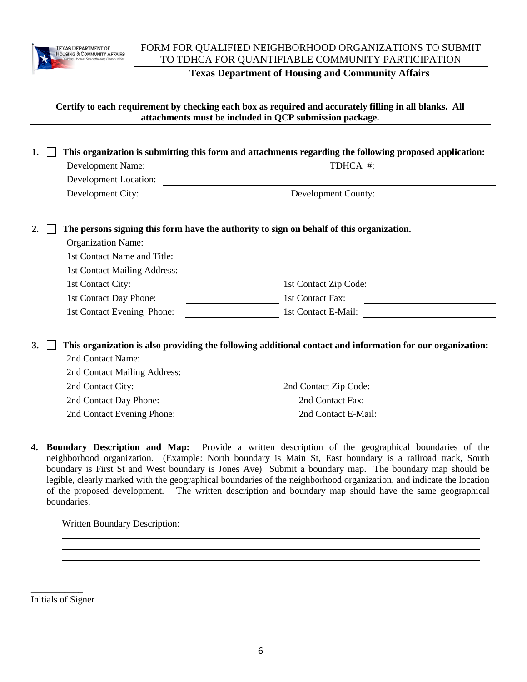

# FORM FOR QUALIFIED NEIGHBORHOOD ORGANIZATIONS TO SUBMIT TO TDHCA FOR QUANTIFIABLE COMMUNITY PARTICIPATION

**Texas Department of Housing and Community Affairs**

#### **Certify to each requirement by checking each box as required and accurately filling in all blanks. All attachments must be included in QCP submission package.**

| 1. | This organization is submitting this form and attachments regarding the following proposed application:    |                                                                                          |  |
|----|------------------------------------------------------------------------------------------------------------|------------------------------------------------------------------------------------------|--|
|    | Development Name:                                                                                          | TDHCA #:<br><u> 1989 - Johann Stoff, fransk politik (d. 1989)</u>                        |  |
|    | Development Location:                                                                                      | <u> 1989 - Johann Stein, fransk politiker (d. 1989)</u>                                  |  |
|    | Development City:                                                                                          | Development County:                                                                      |  |
|    |                                                                                                            |                                                                                          |  |
| 2. |                                                                                                            | The persons signing this form have the authority to sign on behalf of this organization. |  |
|    | <b>Organization Name:</b>                                                                                  |                                                                                          |  |
|    | 1st Contact Name and Title:                                                                                |                                                                                          |  |
|    | 1st Contact Mailing Address:                                                                               |                                                                                          |  |
|    | 1st Contact City:                                                                                          | 1st Contact Zip Code:                                                                    |  |
|    | 1st Contact Day Phone:                                                                                     | 1st Contact Fax:                                                                         |  |
|    | 1st Contact Evening Phone:                                                                                 | 1st Contact E-Mail:                                                                      |  |
|    |                                                                                                            |                                                                                          |  |
| 3. | This organization is also providing the following additional contact and information for our organization: |                                                                                          |  |
|    | 2nd Contact Name:                                                                                          |                                                                                          |  |
|    | 2nd Contact Mailing Address:                                                                               |                                                                                          |  |
|    | 2nd Contact City:                                                                                          | 2nd Contact Zip Code:                                                                    |  |
|    | 2nd Contact Day Phone:                                                                                     | 2nd Contact Fax:                                                                         |  |
|    | 2nd Contact Evening Phone:                                                                                 | 2nd Contact E-Mail:                                                                      |  |

**4. Boundary Description and Map:** Provide a written description of the geographical boundaries of the neighborhood organization. (Example: North boundary is Main St, East boundary is a railroad track, South boundary is First St and West boundary is Jones Ave) Submit a boundary map. The boundary map should be legible, clearly marked with the geographical boundaries of the neighborhood organization, and indicate the location of the proposed development. The written description and boundary map should have the same geographical boundaries.

Written Boundary Description:

\_\_\_\_\_\_\_\_\_\_\_ Initials of Signer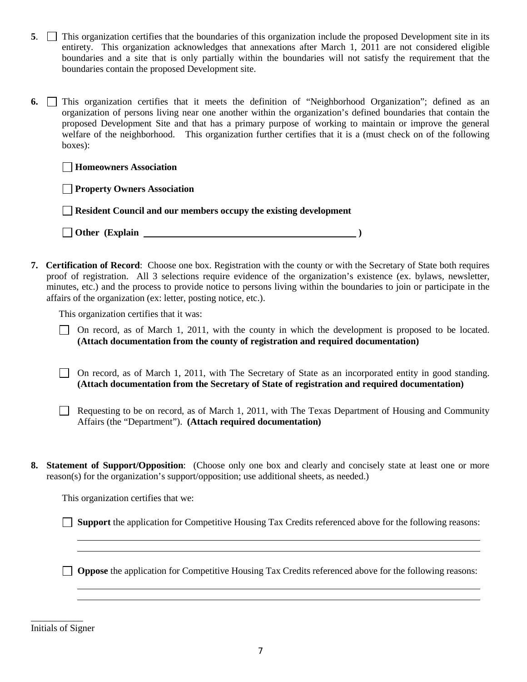- **5**. This organization certifies that the boundaries of this organization include the proposed Development site in its entirety. This organization acknowledges that annexations after March 1, 2011 are not considered eligible boundaries and a site that is only partially within the boundaries will not satisfy the requirement that the boundaries contain the proposed Development site.
- **6.** This organization certifies that it meets the definition of "Neighborhood Organization"; defined as an organization of persons living near one another within the organization's defined boundaries that contain the proposed Development Site and that has a primary purpose of working to maintain or improve the general welfare of the neighborhood. This organization further certifies that it is a (must check on of the following boxes):

| Property Owners Association |  |
|-----------------------------|--|
|-----------------------------|--|

| Resident Council and our members occupy the existing development |  |
|------------------------------------------------------------------|--|
|------------------------------------------------------------------|--|

**Other (Explain )**

**7. Certification of Record**: Choose one box. Registration with the county or with the Secretary of State both requires proof of registration. All 3 selections require evidence of the organization's existence (ex. bylaws, newsletter, minutes, etc.) and the process to provide notice to persons living within the boundaries to join or participate in the affairs of the organization (ex: letter, posting notice, etc.).

This organization certifies that it was:

- On record, as of March 1, 2011, with the county in which the development is proposed to be located. **(Attach documentation from the county of registration and required documentation)**
- On record, as of March 1, 2011, with The Secretary of State as an incorporated entity in good standing. **(Attach documentation from the Secretary of State of registration and required documentation)**
- Requesting to be on record, as of March 1, 2011, with The Texas Department of Housing and Community Affairs (the "Department"). **(Attach required documentation)**
- **8. Statement of Support/Opposition**: (Choose only one box and clearly and concisely state at least one or more reason(s) for the organization's support/opposition; use additional sheets, as needed.)

This organization certifies that we:

**Support** the application for Competitive Housing Tax Credits referenced above for the following reasons:

**Oppose** the application for Competitive Housing Tax Credits referenced above for the following reasons:

\_\_\_\_\_\_\_\_\_\_\_ Initials of Signer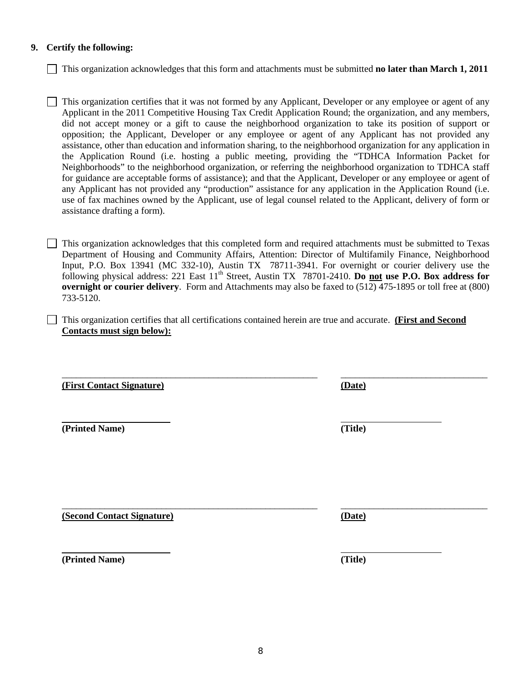#### **9. Certify the following:**

This organization acknowledges that this form and attachments must be submitted **no later than March 1, 2011**

This organization certifies that it was not formed by any Applicant, Developer or any employee or agent of any Applicant in the 2011 Competitive Housing Tax Credit Application Round; the organization, and any members, did not accept money or a gift to cause the neighborhood organization to take its position of support or opposition; the Applicant, Developer or any employee or agent of any Applicant has not provided any assistance, other than education and information sharing, to the neighborhood organization for any application in the Application Round (i.e. hosting a public meeting, providing the "TDHCA Information Packet for Neighborhoods" to the neighborhood organization, or referring the neighborhood organization to TDHCA staff for guidance are acceptable forms of assistance); and that the Applicant, Developer or any employee or agent of any Applicant has not provided any "production" assistance for any application in the Application Round (i.e. use of fax machines owned by the Applicant, use of legal counsel related to the Applicant, delivery of form or assistance drafting a form).

This organization acknowledges that this completed form and required attachments must be submitted to Texas Department of Housing and Community Affairs, Attention: Director of Multifamily Finance, Neighborhood Input, P.O. Box 13941 (MC 332-10), Austin TX 78711-3941. For overnight or courier delivery use the following physical address: 221 East 11<sup>th</sup> Street, Austin TX 78701-2410. **Do not use P.O. Box address for overnight or courier delivery**. Form and Attachments may also be faxed to (512) 475-1895 or toll free at (800) 733-5120.

This organization certifies that all certifications contained herein are true and accurate. **(First and Second Contacts must sign below):**

\_\_\_\_\_\_\_\_\_\_\_\_\_\_\_\_\_\_\_\_\_\_\_\_\_\_\_\_\_\_\_\_\_\_\_\_\_\_\_\_\_\_\_\_\_\_\_\_\_\_\_\_\_\_ \_\_\_\_\_\_\_\_\_\_\_\_\_\_\_\_\_\_\_\_\_\_\_\_\_\_\_\_\_\_\_

**(First Contact Signature) (Date)**

**(Printed Name) (Title)**

**(Second Contact Signature) (Date)**

**(Printed Name) (Title)**

\_\_\_\_\_\_\_\_\_\_\_\_\_\_\_\_\_\_\_\_\_\_\_\_\_\_\_\_\_\_\_\_\_\_\_\_\_\_\_\_\_\_\_\_\_\_\_\_\_\_\_\_\_\_ \_\_\_\_\_\_\_\_\_\_\_\_\_\_\_\_\_\_\_\_\_\_\_\_\_\_\_\_\_\_\_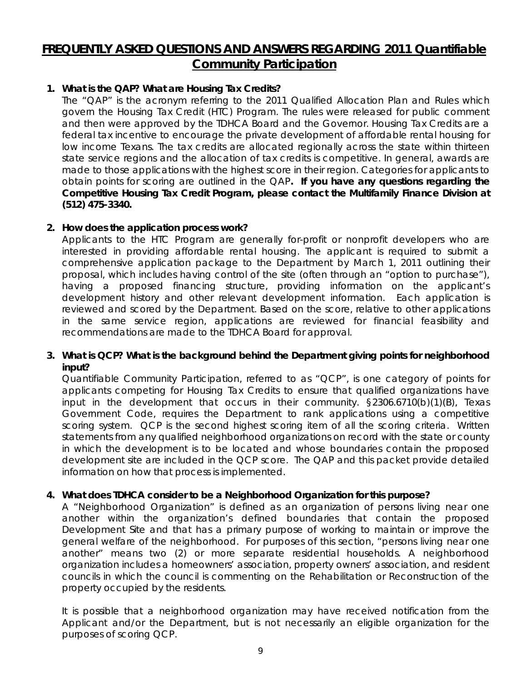# **FREQUENTLY ASKED QUESTIONS AND ANSWERS REGARDING 2011 Quantifiable Community Participation**

# **1. What is the QAP? What are Housing Tax Credits?**

The "QAP" is the acronym referring to the 2011 Qualified Allocation Plan and Rules which govern the Housing Tax Credit (HTC) Program. The rules were released for public comment and then were approved by the TDHCA Board and the Governor. Housing Tax Credits are a federal tax incentive to encourage the private development of affordable rental housing for low income Texans. The tax credits are allocated regionally across the state within thirteen state service regions and the allocation of tax credits is competitive. In general, awards are made to those applications with the highest score in their region. Categories for applicants to obtain points for scoring are outlined in the QAP**. If you have any questions regarding the Competitive Housing Tax Credit Program, please contact the Multifamily Finance Division at (512) 475-3340.**

#### **2. How does the application process work?**

Applicants to the HTC Program are generally for-profit or nonprofit developers who are interested in providing affordable rental housing. The applicant is required to submit a comprehensive application package to the Department by March 1, 2011 outlining their proposal, which includes having control of the site (often through an "option to purchase"), having a proposed financing structure, providing information on the applicant's development history and other relevant development information. Each application is reviewed and scored by the Department. Based on the score, relative to other applications in the same service region, applications are reviewed for financial feasibility and recommendations are made to the TDHCA Board for approval.

#### **3. What is QCP? What is the background behind the Department giving points for neighborhood input?**

Quantifiable Community Participation, referred to as "QCP", is one category of points for applicants competing for Housing Tax Credits to ensure that qualified organizations have input in the development that occurs in their community. §2306.6710(b)(1)(B), Texas Government Code, requires the Department to rank applications using a competitive scoring system. QCP is the second highest scoring item of all the scoring criteria. Written statements from any qualified neighborhood organizations on record with the state or county in which the development is to be located and whose boundaries contain the proposed development site are included in the QCP score. The QAP and this packet provide detailed information on how that process is implemented.

# **4. What does TDHCA consider to be a Neighborhood Organization for this purpose?**

A "Neighborhood Organization" is defined as an organization of persons living near one another within the organization's defined boundaries that contain the proposed Development Site and that has a primary purpose of working to maintain or improve the general welfare of the neighborhood. For purposes of this section, "persons living near one another" means two (2) or more separate residential households. A neighborhood organization includes a homeowners' association, property owners' association, and resident councils in which the council is commenting on the Rehabilitation or Reconstruction of the property occupied by the residents.

It is possible that a neighborhood organization may have received notification from the Applicant and/or the Department, but is not necessarily an eligible organization for the purposes of scoring QCP.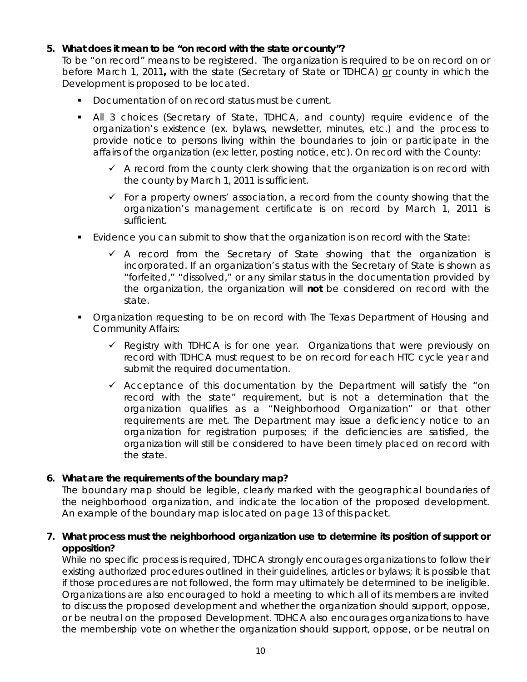### **5. What does it mean to be "on record with the state or county"?**

To be "on record" means to be registered. The organization is required to be on record on or before March 1, 2011**,** with the state (Secretary of State or TDHCA) or county in which the Development is proposed to be located.

- Documentation of on record status must be current.
- All 3 choices (Secretary of State, TDHCA, and county) require evidence of the organization's existence (ex. bylaws, newsletter, minutes, etc.) and the process to provide notice to persons living within the boundaries to join or participate in the affairs of the organization (ex: letter, posting notice, etc). On record with the County:
	- $\checkmark$  A record from the county clerk showing that the organization is on record with the county by March 1, 2011 is sufficient.
	- $\checkmark$  For a property owners' association, a record from the county showing that the organization's management certificate is on record by March 1, 2011 is sufficient.
- Evidence you can submit to show that the organization is on record with the State:
	- $\checkmark$  A record from the Secretary of State showing that the organization is incorporated. If an organization's status with the Secretary of State is shown as "forfeited," "dissolved," or any similar status in the documentation provided by the organization, the organization will **not** be considered on record with the state.
- **Organization requesting to be on record with The Texas Department of Housing and** Community Affairs:
	- $\checkmark$  Registry with TDHCA is for one year. Organizations that were previously on record with TDHCA must request to be on record for each HTC cycle year and submit the required documentation.
	- $\checkmark$  Acceptance of this documentation by the Department will satisfy the "on record with the state" requirement, but is not a determination that the organization qualifies as a "Neighborhood Organization" or that other requirements are met. The Department may issue a deficiency notice to an organization for registration purposes; if the deficiencies are satisfied, the organization will still be considered to have been timely placed on record with the state.

#### **6. What are the requirements of the boundary map?**

The boundary map should be legible, clearly marked with the geographical boundaries of the neighborhood organization, and indicate the location of the proposed development. An example of the boundary map is located on page 13 of this packet.

### **7. What process must the neighborhood organization use to determine its position of support or opposition?**

While no specific process is required, TDHCA strongly encourages organizations to follow their existing authorized procedures outlined in their guidelines, articles or bylaws; it is possible that if those procedures are not followed, the form may ultimately be determined to be ineligible. Organizations are also encouraged to hold a meeting to which all of its members are invited to discuss the proposed development and whether the organization should support, oppose, or be neutral on the proposed Development. TDHCA also encourages organizations to have the membership vote on whether the organization should support, oppose, or be neutral on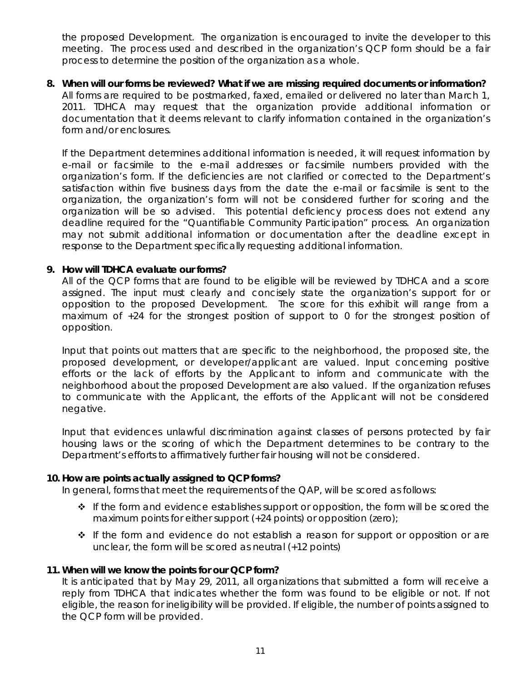the proposed Development. The organization is encouraged to invite the developer to this meeting. The process used and described in the organization's QCP form should be a fair process to determine the position of the organization as a whole.

**8. When will our forms be reviewed? What if we are missing required documents or information?** All forms are required to be postmarked, faxed, emailed or delivered no later than March 1, 2011. TDHCA may request that the organization provide additional information or documentation that it deems relevant to clarify information contained in the organization's form and/or enclosures.

If the Department determines additional information is needed, it will request information by e-mail or facsimile to the e-mail addresses or facsimile numbers provided with the organization's form. If the deficiencies are not clarified or corrected to the Department's satisfaction within five business days from the date the e-mail or facsimile is sent to the organization, the organization's form will not be considered further for scoring and the organization will be so advised. This potential deficiency process does not extend any deadline required for the "Quantifiable Community Participation" process. An organization may not submit additional information or documentation after the deadline except in response to the Department specifically requesting additional information.

#### **9. How will TDHCA evaluate our forms?**

All of the QCP forms that are found to be eligible will be reviewed by TDHCA and a score assigned. The input must clearly and concisely state the organization's support for or opposition to the proposed Development. The score for this exhibit will range from a maximum of +24 for the strongest position of support to 0 for the strongest position of opposition.

Input that points out matters that are specific to the neighborhood, the proposed site, the proposed development, or developer/applicant are valued. Input concerning positive efforts or the lack of efforts by the Applicant to inform and communicate with the neighborhood about the proposed Development are also valued. If the organization refuses to communicate with the Applicant, the efforts of the Applicant will not be considered negative.

Input that evidences unlawful discrimination against classes of persons protected by fair housing laws or the scoring of which the Department determines to be contrary to the Department's efforts to affirmatively further fair housing will not be considered.

#### **10. How are points actually assigned to QCP forms?**

In general, forms that meet the requirements of the QAP, will be scored as follows:

- $\cdot \cdot$  If the form and evidence establishes support or opposition, the form will be scored the maximum points for either support (+24 points) or opposition (zero);
- If the form and evidence do not establish a reason for support or opposition or are unclear, the form will be scored as neutral (+12 points)

#### **11. When will we know the points for our QCP form?**

It is anticipated that by May 29, 2011, all organizations that submitted a form will receive a reply from TDHCA that indicates whether the form was found to be eligible or not. If not eligible, the reason for ineligibility will be provided. If eligible, the number of points assigned to the QCP form will be provided.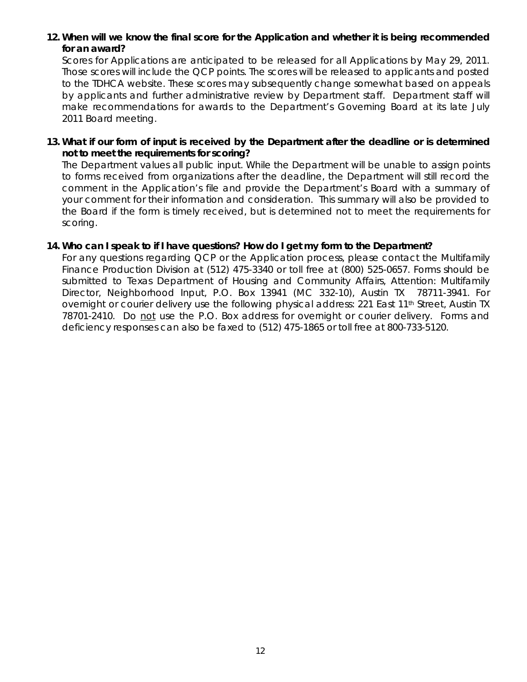# **12. When will we know the final score for the Application and whether it is being recommended for an award?**

Scores for Applications are anticipated to be released for all Applications by May 29, 2011. Those scores will include the QCP points. The scores will be released to applicants and posted to the TDHCA website. These scores may subsequently change somewhat based on appeals by applicants and further administrative review by Department staff. Department staff will make recommendations for awards to the Department's Governing Board at its late July 2011 Board meeting.

#### **13. What if our form of input is received by the Department after the deadline or is determined not to meet the requirements for scoring?**

The Department values all public input. While the Department will be unable to assign points to forms received from organizations after the deadline, the Department will still record the comment in the Application's file and provide the Department's Board with a summary of your comment for their information and consideration. This summary will also be provided to the Board if the form is timely received, but is determined not to meet the requirements for scoring.

#### **14. Who can I speak to if I have questions? How do I get my form to the Department?**

For any questions regarding QCP or the Application process, please contact the Multifamily Finance Production Division at (512) 475-3340 or toll free at (800) 525-0657. Forms should be submitted to Texas Department of Housing and Community Affairs, Attention: Multifamily Director, Neighborhood Input, P.O. Box 13941 (MC 332-10), Austin TX 78711-3941. For overnight or courier delivery use the following physical address: 221 East 11th Street, Austin TX 78701-2410. Do not use the P.O. Box address for overnight or courier delivery. Forms and deficiency responses can also be faxed to (512) 475-1865 or toll free at 800-733-5120.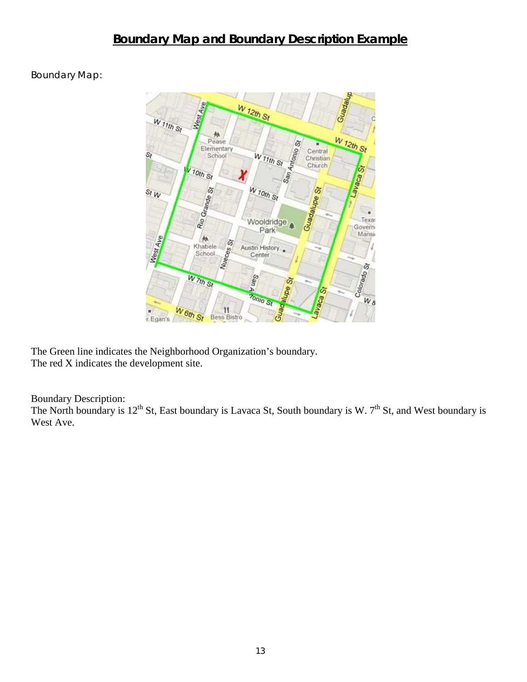# **Boundary Map and Boundary Description Example**

Boundary Map:



The Green line indicates the Neighborhood Organization's boundary. The red X indicates the development site.

Boundary Description:

The North boundary is  $12^{th}$  St, East boundary is Lavaca St, South boundary is W.  $7^{th}$  St, and West boundary is West Ave.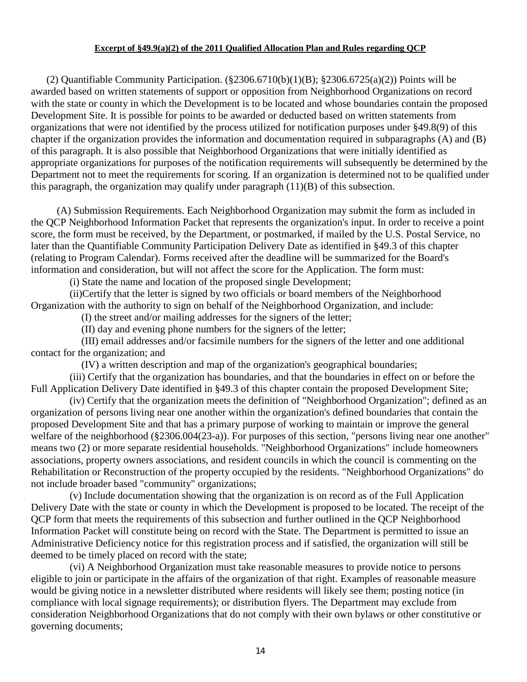#### **Excerpt of §49.9(a)(2) of the 2011 Qualified Allocation Plan and Rules regarding QCP**

(2) Quantifiable Community Participation.  $(\frac{2306.6710(b)(1)(B)}{82306.6725(a)(2)})$  Points will be awarded based on written statements of support or opposition from Neighborhood Organizations on record with the state or county in which the Development is to be located and whose boundaries contain the proposed Development Site. It is possible for points to be awarded or deducted based on written statements from organizations that were not identified by the process utilized for notification purposes under §49.8(9) of this chapter if the organization provides the information and documentation required in subparagraphs (A) and (B) of this paragraph. It is also possible that Neighborhood Organizations that were initially identified as appropriate organizations for purposes of the notification requirements will subsequently be determined by the Department not to meet the requirements for scoring. If an organization is determined not to be qualified under this paragraph, the organization may qualify under paragraph (11)(B) of this subsection.

(A) Submission Requirements. Each Neighborhood Organization may submit the form as included in the QCP Neighborhood Information Packet that represents the organization's input. In order to receive a point score, the form must be received, by the Department, or postmarked, if mailed by the U.S. Postal Service, no later than the Quantifiable Community Participation Delivery Date as identified in §49.3 of this chapter (relating to Program Calendar). Forms received after the deadline will be summarized for the Board's information and consideration, but will not affect the score for the Application. The form must:

(i) State the name and location of the proposed single Development;

(ii)Certify that the letter is signed by two officials or board members of the Neighborhood Organization with the authority to sign on behalf of the Neighborhood Organization, and include:

(I) the street and/or mailing addresses for the signers of the letter;

(II) day and evening phone numbers for the signers of the letter;

(III) email addresses and/or facsimile numbers for the signers of the letter and one additional contact for the organization; and

(IV) a written description and map of the organization's geographical boundaries;

(iii) Certify that the organization has boundaries, and that the boundaries in effect on or before the Full Application Delivery Date identified in §49.3 of this chapter contain the proposed Development Site;

(iv) Certify that the organization meets the definition of "Neighborhood Organization"; defined as an organization of persons living near one another within the organization's defined boundaries that contain the proposed Development Site and that has a primary purpose of working to maintain or improve the general welfare of the neighborhood (§2306.004(23-a)). For purposes of this section, "persons living near one another" means two (2) or more separate residential households. "Neighborhood Organizations" include homeowners associations, property owners associations, and resident councils in which the council is commenting on the Rehabilitation or Reconstruction of the property occupied by the residents. "Neighborhood Organizations" do not include broader based "community" organizations;

(v) Include documentation showing that the organization is on record as of the Full Application Delivery Date with the state or county in which the Development is proposed to be located. The receipt of the QCP form that meets the requirements of this subsection and further outlined in the QCP Neighborhood Information Packet will constitute being on record with the State. The Department is permitted to issue an Administrative Deficiency notice for this registration process and if satisfied, the organization will still be deemed to be timely placed on record with the state;

(vi) A Neighborhood Organization must take reasonable measures to provide notice to persons eligible to join or participate in the affairs of the organization of that right. Examples of reasonable measure would be giving notice in a newsletter distributed where residents will likely see them; posting notice (in compliance with local signage requirements); or distribution flyers. The Department may exclude from consideration Neighborhood Organizations that do not comply with their own bylaws or other constitutive or governing documents;